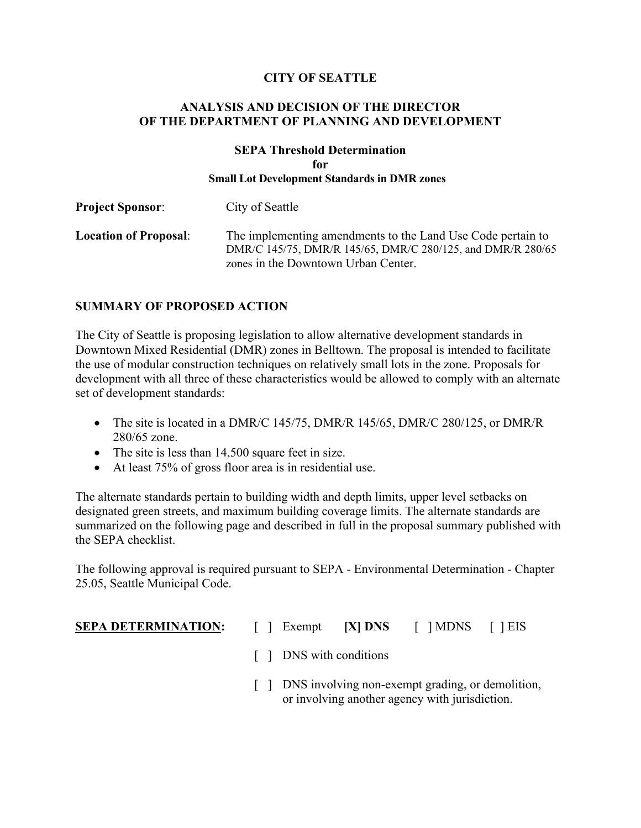## **CITY OF SEATTLE**

## **ANALYSIS AND DECISION OF THE DIRECTOR OF THE DEPARTMENT OF PLANNING AND DEVELOPMENT**

### **SEPA Threshold Determination for Small Lot Development Standards in DMR zones**

| <b>Project Sponsor:</b>      | City of Seattle                                                                                                                                                   |
|------------------------------|-------------------------------------------------------------------------------------------------------------------------------------------------------------------|
| <b>Location of Proposal:</b> | The implementing amendments to the Land Use Code pertain to<br>DMR/C 145/75, DMR/R 145/65, DMR/C 280/125, and DMR/R 280/65<br>zones in the Downtown Urban Center. |

## **SUMMARY OF PROPOSED ACTION**

The City of Seattle is proposing legislation to allow alternative development standards in Downtown Mixed Residential (DMR) zones in Belltown. The proposal is intended to facilitate the use of modular construction techniques on relatively small lots in the zone. Proposals for development with all three of these characteristics would be allowed to comply with an alternate set of development standards:

- The site is located in a DMR/C 145/75, DMR/R 145/65, DMR/C 280/125, or DMR/R 280/65 zone.
- The site is less than 14,500 square feet in size.
- At least 75% of gross floor area is in residential use.

The alternate standards pertain to building width and depth limits, upper level setbacks on designated green streets, and maximum building coverage limits. The alternate standards are summarized on the following page and described in full in the proposal summary published with the SEPA checklist.

The following approval is required pursuant to SEPA - Environmental Determination - Chapter 25.05, Seattle Municipal Code.

- **SEPA DETERMINATION:** [ ] Exempt **[X] DNS** [ ] MDNS [ ] EIS
	- [ ] DNS with conditions
	- [ ] DNS involving non-exempt grading, or demolition, or involving another agency with jurisdiction.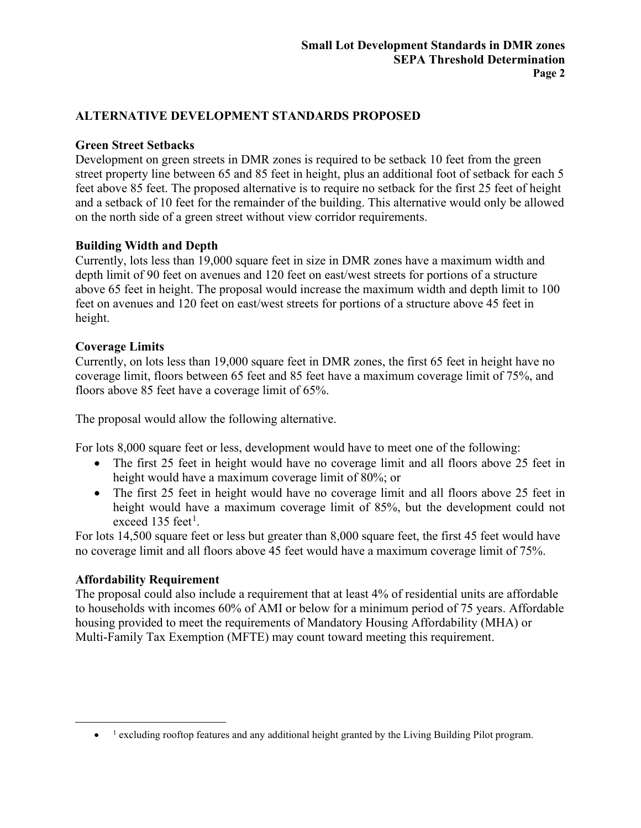## **ALTERNATIVE DEVELOPMENT STANDARDS PROPOSED**

## **Green Street Setbacks**

Development on green streets in DMR zones is required to be setback 10 feet from the green street property line between 65 and 85 feet in height, plus an additional foot of setback for each 5 feet above 85 feet. The proposed alternative is to require no setback for the first 25 feet of height and a setback of 10 feet for the remainder of the building. This alternative would only be allowed on the north side of a green street without view corridor requirements.

## **Building Width and Depth**

Currently, lots less than 19,000 square feet in size in DMR zones have a maximum width and depth limit of 90 feet on avenues and 120 feet on east/west streets for portions of a structure above 65 feet in height. The proposal would increase the maximum width and depth limit to 100 feet on avenues and 120 feet on east/west streets for portions of a structure above 45 feet in height.

### **Coverage Limits**

Currently, on lots less than 19,000 square feet in DMR zones, the first 65 feet in height have no coverage limit, floors between 65 feet and 85 feet have a maximum coverage limit of 75%, and floors above 85 feet have a coverage limit of 65%.

The proposal would allow the following alternative.

For lots 8,000 square feet or less, development would have to meet one of the following:

- The first 25 feet in height would have no coverage limit and all floors above 25 feet in height would have a maximum coverage limit of 80%; or
- The first 25 feet in height would have no coverage limit and all floors above 25 feet in height would have a maximum coverage limit of 85%, but the development could not exceed [1](#page-1-0)35 feet<sup>1</sup>.

For lots 14,500 square feet or less but greater than 8,000 square feet, the first 45 feet would have no coverage limit and all floors above 45 feet would have a maximum coverage limit of 75%.

## **Affordability Requirement**

The proposal could also include a requirement that at least 4% of residential units are affordable to households with incomes 60% of AMI or below for a minimum period of 75 years. Affordable housing provided to meet the requirements of Mandatory Housing Affordability (MHA) or Multi-Family Tax Exemption (MFTE) may count toward meeting this requirement.

<span id="page-1-0"></span><sup>&</sup>lt;sup>1</sup> excluding rooftop features and any additional height granted by the Living Building Pilot program.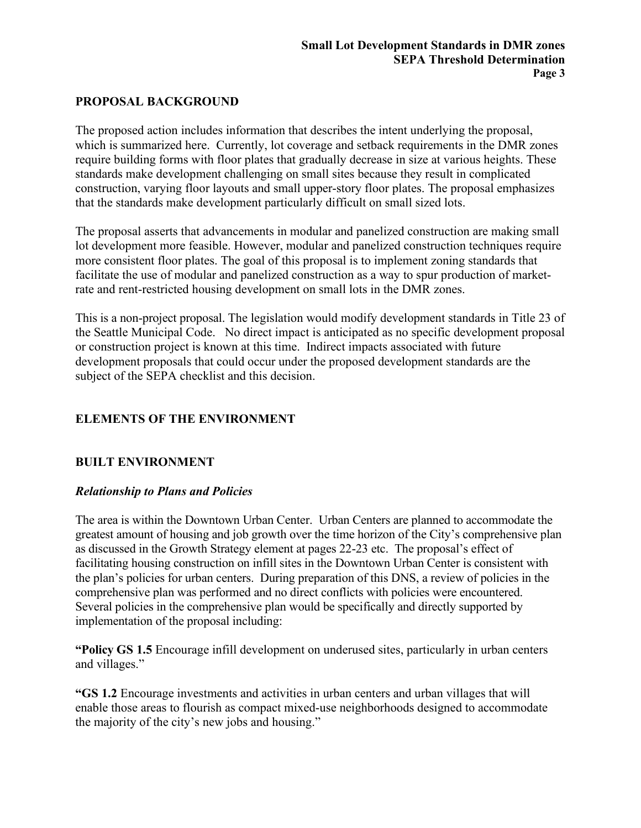## **PROPOSAL BACKGROUND**

The proposed action includes information that describes the intent underlying the proposal, which is summarized here. Currently, lot coverage and setback requirements in the DMR zones require building forms with floor plates that gradually decrease in size at various heights. These standards make development challenging on small sites because they result in complicated construction, varying floor layouts and small upper-story floor plates. The proposal emphasizes that the standards make development particularly difficult on small sized lots.

The proposal asserts that advancements in modular and panelized construction are making small lot development more feasible. However, modular and panelized construction techniques require more consistent floor plates. The goal of this proposal is to implement zoning standards that facilitate the use of modular and panelized construction as a way to spur production of marketrate and rent-restricted housing development on small lots in the DMR zones.

This is a non-project proposal. The legislation would modify development standards in Title 23 of the Seattle Municipal Code. No direct impact is anticipated as no specific development proposal or construction project is known at this time. Indirect impacts associated with future development proposals that could occur under the proposed development standards are the subject of the SEPA checklist and this decision.

## **ELEMENTS OF THE ENVIRONMENT**

## **BUILT ENVIRONMENT**

### *Relationship to Plans and Policies*

The area is within the Downtown Urban Center. Urban Centers are planned to accommodate the greatest amount of housing and job growth over the time horizon of the City's comprehensive plan as discussed in the Growth Strategy element at pages 22-23 etc. The proposal's effect of facilitating housing construction on infill sites in the Downtown Urban Center is consistent with the plan's policies for urban centers. During preparation of this DNS, a review of policies in the comprehensive plan was performed and no direct conflicts with policies were encountered. Several policies in the comprehensive plan would be specifically and directly supported by implementation of the proposal including:

**"Policy GS 1.5** Encourage infill development on underused sites, particularly in urban centers and villages."

**"GS 1.2** Encourage investments and activities in urban centers and urban villages that will enable those areas to flourish as compact mixed-use neighborhoods designed to accommodate the majority of the city's new jobs and housing."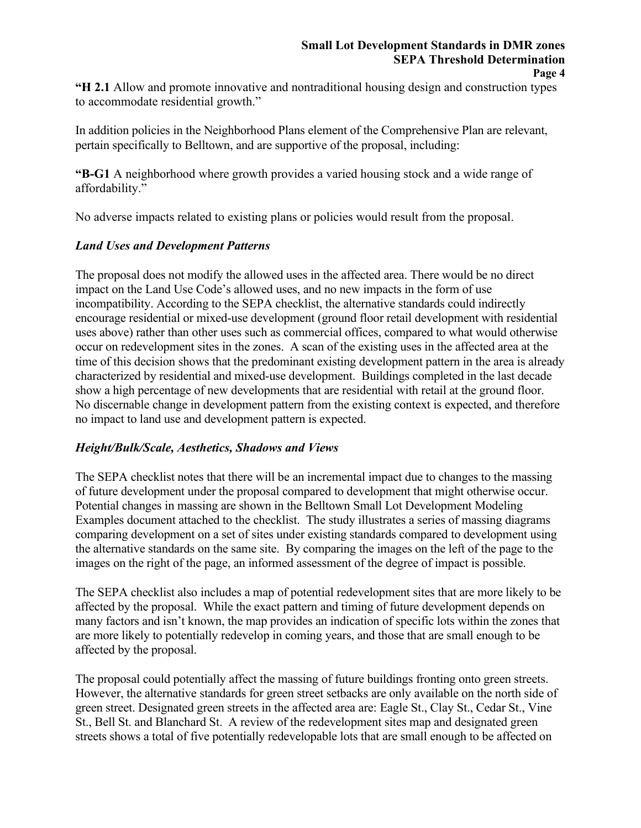#### **Small Lot Development Standards in DMR zones SEPA Threshold Determination Page 4**

**"H 2.1** Allow and promote innovative and nontraditional housing design and construction types to accommodate residential growth."

In addition policies in the Neighborhood Plans element of the Comprehensive Plan are relevant, pertain specifically to Belltown, and are supportive of the proposal, including:

**"B-G1** A neighborhood where growth provides a varied housing stock and a wide range of affordability."

No adverse impacts related to existing plans or policies would result from the proposal.

## *Land Uses and Development Patterns*

The proposal does not modify the allowed uses in the affected area. There would be no direct impact on the Land Use Code's allowed uses, and no new impacts in the form of use incompatibility. According to the SEPA checklist, the alternative standards could indirectly encourage residential or mixed-use development (ground floor retail development with residential uses above) rather than other uses such as commercial offices, compared to what would otherwise occur on redevelopment sites in the zones. A scan of the existing uses in the affected area at the time of this decision shows that the predominant existing development pattern in the area is already characterized by residential and mixed-use development. Buildings completed in the last decade show a high percentage of new developments that are residential with retail at the ground floor. No discernable change in development pattern from the existing context is expected, and therefore no impact to land use and development pattern is expected.

### *Height/Bulk/Scale, Aesthetics, Shadows and Views*

The SEPA checklist notes that there will be an incremental impact due to changes to the massing of future development under the proposal compared to development that might otherwise occur. Potential changes in massing are shown in the Belltown Small Lot Development Modeling Examples document attached to the checklist. The study illustrates a series of massing diagrams comparing development on a set of sites under existing standards compared to development using the alternative standards on the same site. By comparing the images on the left of the page to the images on the right of the page, an informed assessment of the degree of impact is possible.

The SEPA checklist also includes a map of potential redevelopment sites that are more likely to be affected by the proposal. While the exact pattern and timing of future development depends on many factors and isn't known, the map provides an indication of specific lots within the zones that are more likely to potentially redevelop in coming years, and those that are small enough to be affected by the proposal.

The proposal could potentially affect the massing of future buildings fronting onto green streets. However, the alternative standards for green street setbacks are only available on the north side of green street. Designated green streets in the affected area are: Eagle St., Clay St., Cedar St., Vine St., Bell St. and Blanchard St. A review of the redevelopment sites map and designated green streets shows a total of five potentially redevelopable lots that are small enough to be affected on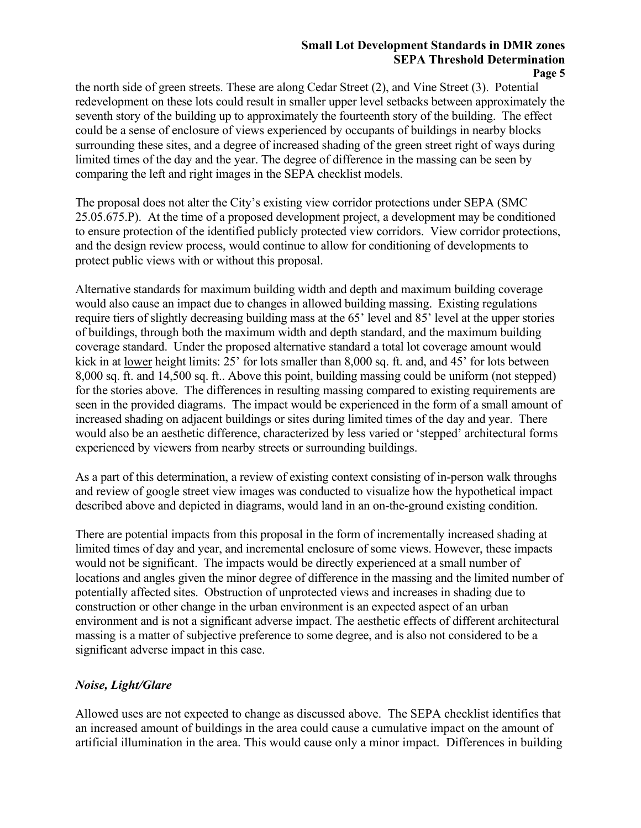#### **Small Lot Development Standards in DMR zones SEPA Threshold Determination Page 5**

the north side of green streets. These are along Cedar Street (2), and Vine Street (3). Potential redevelopment on these lots could result in smaller upper level setbacks between approximately the seventh story of the building up to approximately the fourteenth story of the building. The effect could be a sense of enclosure of views experienced by occupants of buildings in nearby blocks surrounding these sites, and a degree of increased shading of the green street right of ways during limited times of the day and the year. The degree of difference in the massing can be seen by comparing the left and right images in the SEPA checklist models.

The proposal does not alter the City's existing view corridor protections under SEPA (SMC 25.05.675.P). At the time of a proposed development project, a development may be conditioned to ensure protection of the identified publicly protected view corridors. View corridor protections, and the design review process, would continue to allow for conditioning of developments to protect public views with or without this proposal.

Alternative standards for maximum building width and depth and maximum building coverage would also cause an impact due to changes in allowed building massing. Existing regulations require tiers of slightly decreasing building mass at the 65' level and 85' level at the upper stories of buildings, through both the maximum width and depth standard, and the maximum building coverage standard. Under the proposed alternative standard a total lot coverage amount would kick in at lower height limits: 25' for lots smaller than 8,000 sq. ft. and, and 45' for lots between 8,000 sq. ft. and 14,500 sq. ft.. Above this point, building massing could be uniform (not stepped) for the stories above. The differences in resulting massing compared to existing requirements are seen in the provided diagrams. The impact would be experienced in the form of a small amount of increased shading on adjacent buildings or sites during limited times of the day and year. There would also be an aesthetic difference, characterized by less varied or 'stepped' architectural forms experienced by viewers from nearby streets or surrounding buildings.

As a part of this determination, a review of existing context consisting of in-person walk throughs and review of google street view images was conducted to visualize how the hypothetical impact described above and depicted in diagrams, would land in an on-the-ground existing condition.

There are potential impacts from this proposal in the form of incrementally increased shading at limited times of day and year, and incremental enclosure of some views. However, these impacts would not be significant. The impacts would be directly experienced at a small number of locations and angles given the minor degree of difference in the massing and the limited number of potentially affected sites. Obstruction of unprotected views and increases in shading due to construction or other change in the urban environment is an expected aspect of an urban environment and is not a significant adverse impact. The aesthetic effects of different architectural massing is a matter of subjective preference to some degree, and is also not considered to be a significant adverse impact in this case.

## *Noise, Light/Glare*

Allowed uses are not expected to change as discussed above. The SEPA checklist identifies that an increased amount of buildings in the area could cause a cumulative impact on the amount of artificial illumination in the area. This would cause only a minor impact. Differences in building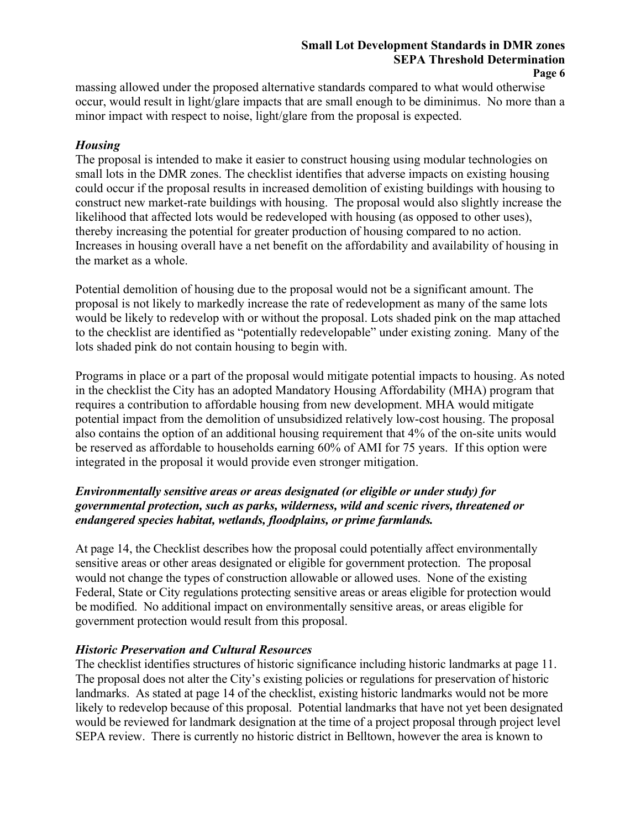#### **Small Lot Development Standards in DMR zones SEPA Threshold Determination Page 6**

massing allowed under the proposed alternative standards compared to what would otherwise occur, would result in light/glare impacts that are small enough to be diminimus. No more than a minor impact with respect to noise, light/glare from the proposal is expected.

## *Housing*

The proposal is intended to make it easier to construct housing using modular technologies on small lots in the DMR zones. The checklist identifies that adverse impacts on existing housing could occur if the proposal results in increased demolition of existing buildings with housing to construct new market-rate buildings with housing. The proposal would also slightly increase the likelihood that affected lots would be redeveloped with housing (as opposed to other uses), thereby increasing the potential for greater production of housing compared to no action. Increases in housing overall have a net benefit on the affordability and availability of housing in the market as a whole.

Potential demolition of housing due to the proposal would not be a significant amount. The proposal is not likely to markedly increase the rate of redevelopment as many of the same lots would be likely to redevelop with or without the proposal. Lots shaded pink on the map attached to the checklist are identified as "potentially redevelopable" under existing zoning. Many of the lots shaded pink do not contain housing to begin with.

Programs in place or a part of the proposal would mitigate potential impacts to housing. As noted in the checklist the City has an adopted Mandatory Housing Affordability (MHA) program that requires a contribution to affordable housing from new development. MHA would mitigate potential impact from the demolition of unsubsidized relatively low-cost housing. The proposal also contains the option of an additional housing requirement that 4% of the on-site units would be reserved as affordable to households earning 60% of AMI for 75 years. If this option were integrated in the proposal it would provide even stronger mitigation.

## *Environmentally sensitive areas or areas designated (or eligible or under study) for governmental protection, such as parks, wilderness, wild and scenic rivers, threatened or endangered species habitat, wetlands, floodplains, or prime farmlands.*

At page 14, the Checklist describes how the proposal could potentially affect environmentally sensitive areas or other areas designated or eligible for government protection. The proposal would not change the types of construction allowable or allowed uses. None of the existing Federal, State or City regulations protecting sensitive areas or areas eligible for protection would be modified. No additional impact on environmentally sensitive areas, or areas eligible for government protection would result from this proposal.

### *Historic Preservation and Cultural Resources*

The checklist identifies structures of historic significance including historic landmarks at page 11. The proposal does not alter the City's existing policies or regulations for preservation of historic landmarks. As stated at page 14 of the checklist, existing historic landmarks would not be more likely to redevelop because of this proposal. Potential landmarks that have not yet been designated would be reviewed for landmark designation at the time of a project proposal through project level SEPA review. There is currently no historic district in Belltown, however the area is known to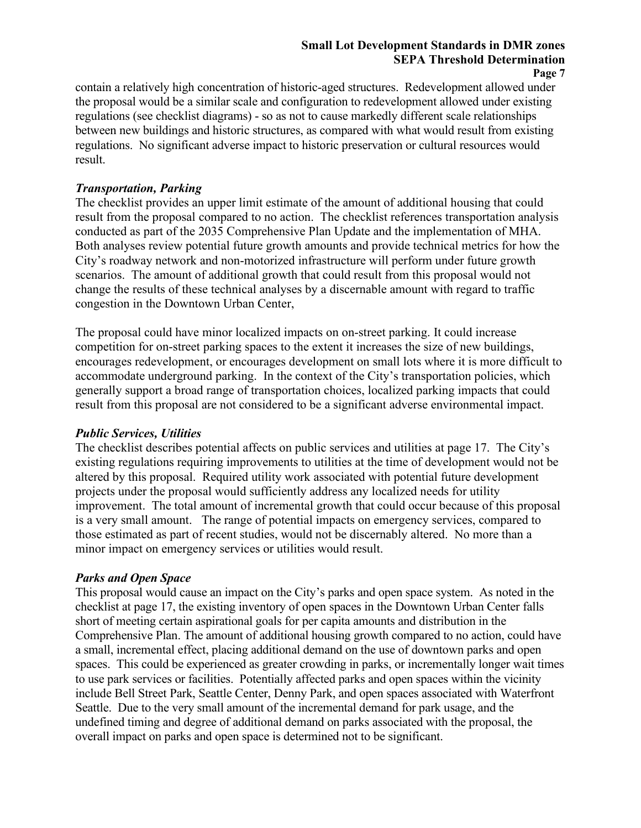# **Small Lot Development Standards in DMR zones SEPA Threshold Determination**

**Page 7**

contain a relatively high concentration of historic-aged structures. Redevelopment allowed under the proposal would be a similar scale and configuration to redevelopment allowed under existing regulations (see checklist diagrams) - so as not to cause markedly different scale relationships between new buildings and historic structures, as compared with what would result from existing regulations. No significant adverse impact to historic preservation or cultural resources would result.

## *Transportation, Parking*

The checklist provides an upper limit estimate of the amount of additional housing that could result from the proposal compared to no action. The checklist references transportation analysis conducted as part of the 2035 Comprehensive Plan Update and the implementation of MHA. Both analyses review potential future growth amounts and provide technical metrics for how the City's roadway network and non-motorized infrastructure will perform under future growth scenarios. The amount of additional growth that could result from this proposal would not change the results of these technical analyses by a discernable amount with regard to traffic congestion in the Downtown Urban Center,

The proposal could have minor localized impacts on on-street parking. It could increase competition for on-street parking spaces to the extent it increases the size of new buildings, encourages redevelopment, or encourages development on small lots where it is more difficult to accommodate underground parking. In the context of the City's transportation policies, which generally support a broad range of transportation choices, localized parking impacts that could result from this proposal are not considered to be a significant adverse environmental impact.

### *Public Services, Utilities*

The checklist describes potential affects on public services and utilities at page 17. The City's existing regulations requiring improvements to utilities at the time of development would not be altered by this proposal. Required utility work associated with potential future development projects under the proposal would sufficiently address any localized needs for utility improvement. The total amount of incremental growth that could occur because of this proposal is a very small amount. The range of potential impacts on emergency services, compared to those estimated as part of recent studies, would not be discernably altered. No more than a minor impact on emergency services or utilities would result.

## *Parks and Open Space*

This proposal would cause an impact on the City's parks and open space system. As noted in the checklist at page 17, the existing inventory of open spaces in the Downtown Urban Center falls short of meeting certain aspirational goals for per capita amounts and distribution in the Comprehensive Plan. The amount of additional housing growth compared to no action, could have a small, incremental effect, placing additional demand on the use of downtown parks and open spaces. This could be experienced as greater crowding in parks, or incrementally longer wait times to use park services or facilities. Potentially affected parks and open spaces within the vicinity include Bell Street Park, Seattle Center, Denny Park, and open spaces associated with Waterfront Seattle. Due to the very small amount of the incremental demand for park usage, and the undefined timing and degree of additional demand on parks associated with the proposal, the overall impact on parks and open space is determined not to be significant.